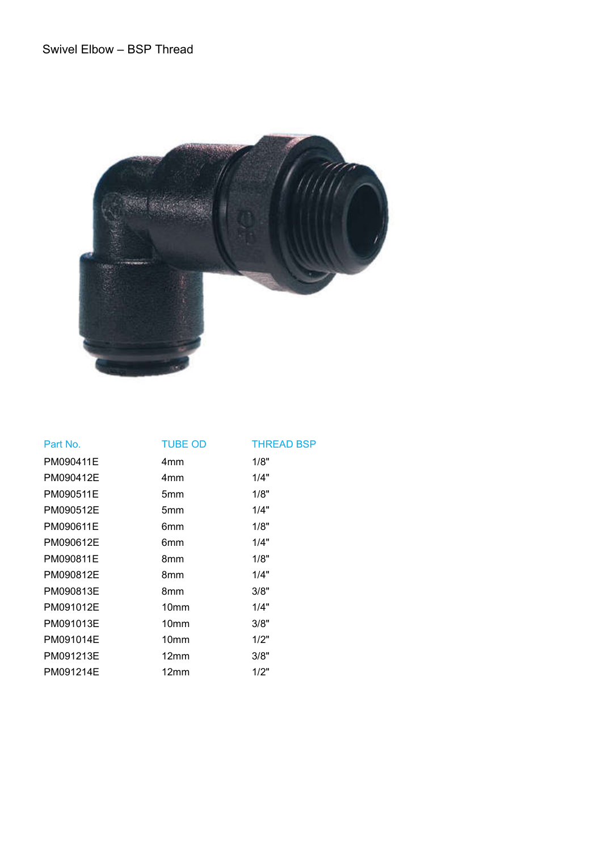

| Part No.  | <b>TUBE OD</b>   | <b>THREAD BSP</b> |
|-----------|------------------|-------------------|
| PM090411E | 4 <sub>mm</sub>  | 1/8"              |
| PM090412E | 4mm              | 1/4"              |
| PM090511E | 5 <sub>mm</sub>  | 1/8"              |
| PM090512E | 5mm              | 1/4"              |
| PM090611E | 6mm              | 1/8"              |
| PM090612E | 6mm              | 1/4"              |
| PM090811E | 8mm              | 1/8"              |
| PM090812E | 8mm              | 1/4"              |
| PM090813E | 8mm              | 3/8"              |
| PM091012E | 10 <sub>mm</sub> | 1/4"              |
| PM091013E | 10 <sub>mm</sub> | 3/8"              |
| PM091014E | 10 <sub>mm</sub> | 1/2"              |
| PM091213E | 12 <sub>mm</sub> | 3/8"              |
| PM091214E | 12mm             | 1/2"              |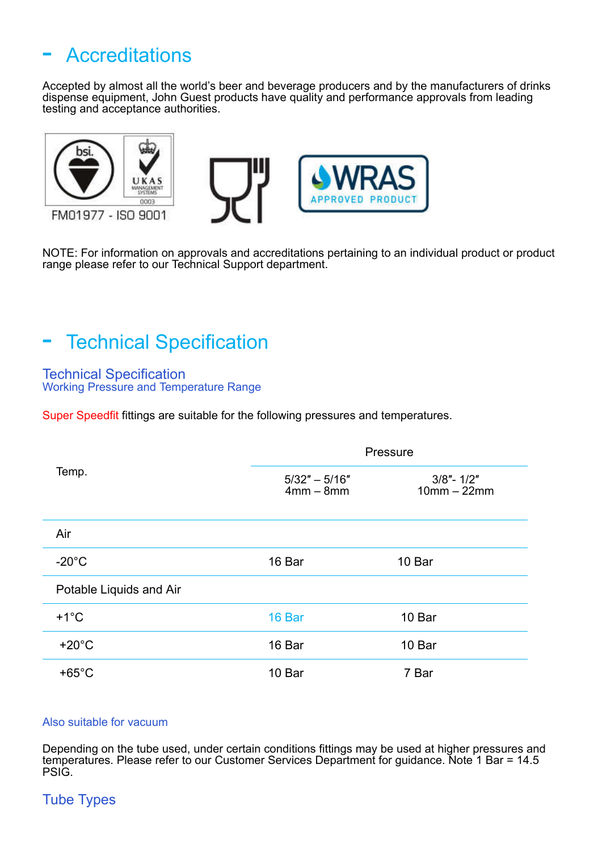# **Accreditations**

Accepted by almost all the world's beer and beverage producers and by the manufacturers of drinks dispense equipment, John Guest products have quality and performance approvals from leading testing and acceptance authorities.



NOTE: For information on approvals and accreditations pertaining to an individual product or product range please refer to our Technical Support department.

## **Technical Specification**

Technical Specification Working Pressure and Temperature Range

Super Speedfit fittings are suitable for the following pressures and temperatures.

|                         | Pressure                       |                                |  |
|-------------------------|--------------------------------|--------------------------------|--|
| Temp.                   | $5/32" - 5/16"$<br>$4mm - 8mm$ | $3/8" - 1/2"$<br>$10mm - 22mm$ |  |
| Air                     |                                |                                |  |
| $-20^{\circ}$ C         | 16 Bar                         | 10 Bar                         |  |
| Potable Liquids and Air |                                |                                |  |
| $+1^{\circ}C$           | 16 Bar                         | 10 Bar                         |  |
| $+20^{\circ}$ C         | 16 Bar                         | 10 Bar                         |  |
| $+65^{\circ}$ C         | 10 Bar                         | 7 Bar                          |  |

#### Also suitable for vacuum

Depending on the tube used, under certain conditions fittings may be used at higher pressures and temperatures. Please refer to our Customer Services Department for guidance. Note 1 Bar = 14.5 PSIG.

### Tube Types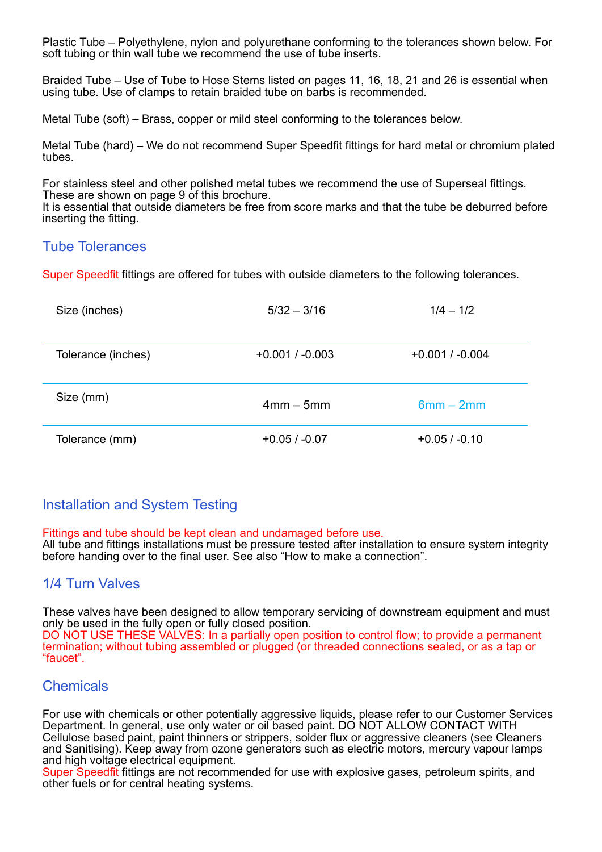Plastic Tube – Polyethylene, nylon and polyurethane conforming to the tolerances shown below. For soft tubing or thin wall tube we recommend the use of tube inserts.

Braided Tube – Use of Tube to Hose Stems listed on pages 11, 16, 18, 21 and 26 is essential when using tube. Use of clamps to retain braided tube on barbs is recommended.

Metal Tube (soft) – Brass, copper or mild steel conforming to the tolerances below.

Metal Tube (hard) – We do not recommend Super Speedfit fittings for hard metal or chromium plated tubes.

For stainless steel and other polished metal tubes we recommend the use of Superseal fittings. These are shown on page 9 of this brochure.

It is essential that outside diameters be free from score marks and that the tube be deburred before inserting the fitting.

#### Tube Tolerances

Super Speedfit fittings are offered for tubes with outside diameters to the following tolerances.

| Size (inches)      | $5/32 - 3/16$     | $1/4 - 1/2$       |
|--------------------|-------------------|-------------------|
| Tolerance (inches) | $+0.001 / -0.003$ | $+0.001 / -0.004$ |
| Size (mm)          | $4mm - 5mm$       | $6mm - 2mm$       |
| Tolerance (mm)     | $+0.05/ -0.07$    | $+0.05/ -0.10$    |

### Installation and System Testing

Fittings and tube should be kept clean and undamaged before use.

All tube and fittings installations must be pressure tested after installation to ensure system integrity before handing over to the final user. See also "How to make a connection".

### 1/4 Turn Valves

These valves have been designed to allow temporary servicing of downstream equipment and must only be used in the fully open or fully closed position. DO NOT USE THESE VALVES: In a partially open position to control flow; to provide a permanent termination; without tubing assembled or plugged (or threaded connections sealed, or as a tap or "faucet".

#### **Chemicals**

For use with chemicals or other potentially aggressive liquids, please refer to our Customer Services Department. In general, use only water or oil based paint. DO NOT ALLOW CONTACT WITH Cellulose based paint, paint thinners or strippers, solder flux or aggressive cleaners (see Cleaners and Sanitising). Keep away from ozone generators such as electric motors, mercury vapour lamps and high voltage electrical equipment.

Super Speedfit fittings are not recommended for use with explosive gases, petroleum spirits, and other fuels or for central heating systems.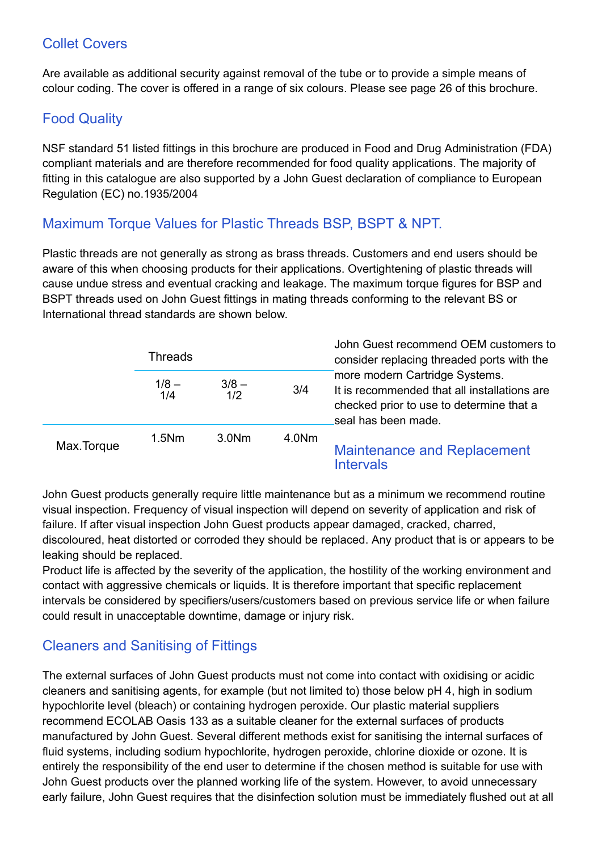## Collet Covers

Are available as additional security against removal of the tube or to provide a simple means of colour coding. The cover is offered in a range of six colours. Please see page 26 of this brochure.

## Food Quality

NSF standard 51 listed fittings in this brochure are produced in Food and Drug Administration (FDA) compliant materials and are therefore recommended for food quality applications. The majority of fitting in this catalogue are also supported by a John Guest declaration of compliance to European Regulation (EC) no.1935/2004

## Maximum Torque Values for Plastic Threads BSP, BSPT & NPT.

Plastic threads are not generally as strong as brass threads. Customers and end users should be aware of this when choosing products for their applications. Overtightening of plastic threads will cause undue stress and eventual cracking and leakage. The maximum torque figures for BSP and BSPT threads used on John Guest fittings in mating threads conforming to the relevant BS or International thread standards are shown below.

|            | <b>Threads</b> |                   |       | John Guest recommend OEM customers to<br>consider replacing threaded ports with the                                                               |  |
|------------|----------------|-------------------|-------|---------------------------------------------------------------------------------------------------------------------------------------------------|--|
|            | $1/8 -$<br>1/4 | $3/8 -$<br>1/2    | 3/4   | more modern Cartridge Systems.<br>It is recommended that all installations are<br>checked prior to use to determine that a<br>seal has been made. |  |
| Max.Torque | $1.5$ Nm       | 3.0 <sub>Nm</sub> | 4.0Nm | <b>Maintenance and Replacement</b><br><b>Intervals</b>                                                                                            |  |

John Guest products generally require little maintenance but as a minimum we recommend routine visual inspection. Frequency of visual inspection will depend on severity of application and risk of failure. If after visual inspection John Guest products appear damaged, cracked, charred, discoloured, heat distorted or corroded they should be replaced. Any product that is or appears to be leaking should be replaced.

Product life is affected by the severity of the application, the hostility of the working environment and contact with aggressive chemicals or liquids. It is therefore important that specific replacement intervals be considered by specifiers/users/customers based on previous service life or when failure could result in unacceptable downtime, damage or injury risk.

## Cleaners and Sanitising of Fittings

The external surfaces of John Guest products must not come into contact with oxidising or acidic cleaners and sanitising agents, for example (but not limited to) those below pH 4, high in sodium hypochlorite level (bleach) or containing hydrogen peroxide. Our plastic material suppliers recommend ECOLAB Oasis 133 as a suitable cleaner for the external surfaces of products manufactured by John Guest. Several different methods exist for sanitising the internal surfaces of fluid systems, including sodium hypochlorite, hydrogen peroxide, chlorine dioxide or ozone. It is entirely the responsibility of the end user to determine if the chosen method is suitable for use with John Guest products over the planned working life of the system. However, to avoid unnecessary early failure, John Guest requires that the disinfection solution must be immediately flushed out at all